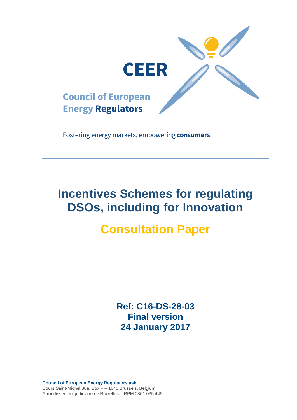

Fostering energy markets, empowering consumers.

# **Incentives Schemes for regulating DSOs, including for Innovation**

# **Consultation Paper**

**Ref: C16-DS-28-03 Final version 24 January 2017**

**Council of European Energy Regulators asbl** Cours Saint-Michel 30a, Box F – 1040 Brussels, Belgium Arrondissement judiciaire de Bruxelles – RPM 0861.035.445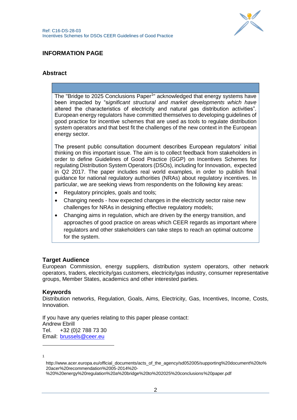

## **INFORMATION PAGE**

## **Abstract**

The "Bridge to 2025 Conclusions Paper<sup>1</sup>" acknowledged that energy systems have been impacted by "s*ignificant structural and market developments which have*  altered the characteristics of electricity and natural gas distribution activities". European energy regulators have committed themselves to developing guidelines of good practice for incentive schemes that are used as tools to regulate distribution system operators and that best fit the challenges of the new context in the European energy sector.

The present public consultation document describes European regulators' initial thinking on this important issue. The aim is to collect feedback from stakeholders in order to define Guidelines of Good Practice (GGP) on Incentives Schemes for regulating Distribution System Operators (DSOs), including for Innovation, expected in Q2 2017. The paper includes real world examples, in order to publish final guidance for national regulatory authorities (NRAs) about regulatory incentives. In particular, we are seeking views from respondents on the following key areas:

- Regulatory principles, goals and tools;
- Changing needs how expected changes in the electricity sector raise new challenges for NRAs in designing effective regulatory models;
- Changing aims in regulation, which are driven by the energy transition, and approaches of good practice on areas which CEER regards as important where regulators and other stakeholders can take steps to reach an optimal outcome for the system.

#### **Target Audience**

European Commission, energy suppliers, distribution system operators, other network operators, traders, electricity/gas customers, electricity/gas industry, consumer representative groups, Member States, academics and other interested parties.

#### **Keywords**

Distribution networks, Regulation, Goals, Aims, Electricity, Gas, Incentives, Income, Costs, Innovation.

If you have any queries relating to this paper please contact: Andrew Ebrill Tel. +32 (0)2 788 73 30 Email: [brussels@ceer.eu](mailto:brussels@ceer.eu)

1

-

%20%20energy%20regulation%20a%20bridge%20to%202025%20conclusions%20paper.pdf

http://www.acer.europa.eu/official\_documents/acts\_of\_the\_agency/sd052005/supporting%20document%20to% 20acer%20recommendation%2005-2014%20-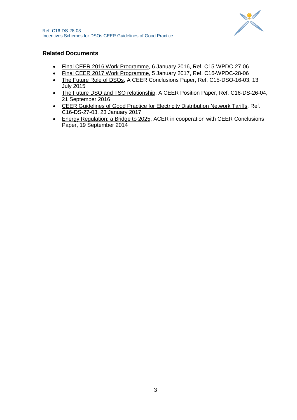

## **Related Documents**

- [Final CEER 2016 Work Programme,](http://www.ceer.eu/portal/page/portal/EER_HOME/EER_PUBLICATIONS/Work_Programmes/2012/C15-WPDC-27-06_Public_WP2016_final.pdf) 6 January 2016, Ref. C15-WPDC-27-06
- Final CEER 2017 [Work Programme,](http://www.ceer.eu/portal/page/portal/EER_HOME/EER_PUBLICATIONS/Work_Programmes/2017) 5 January 2017, Ref. C16-WPDC-28-06
- [The Future Role of DSOs,](http://www.ceer.eu/portal/page/portal/EER_HOME/EER_PUBLICATIONS/CEER_PAPERS/Cross-Sectoral/Tab1/C15-DSO-16-03_DSO%20Conclusions_13%20July%202015.pdf) A CEER Conclusions Paper, Ref. C15-DSO-16-03, 13 July 2015
- [The Future DSO and TSO relationship,](http://www.ceer.eu/portal/page/portal/EER_HOME/EER_PUBLICATIONS/CEER_PAPERS/Cross-Sectoral/2016/C16-DS-26-04_DSO-TSO-relationship_PP_21-Sep-2016.pdf) A CEER Position Paper, Ref. C16-DS-26-04, 21 September 2016
- [CEER Guidelines of Good Practice for Electricity Distribution Network Tariffs,](http://www.ceer.eu/portal/page/portal/EER_HOME/EER_PUBLICATIONS/CEER_PAPERS/Electricity/2017/CEER%20DS%20WG%20Best%20Practice%20Tariffs%20GGP%20-%20%20external%20publication_final.pdf) Ref. C16-DS-27-03, 23 January 2017
- [Energy Regulation: a Bridge to 2025,](http://www.acer.europa.eu/Official_documents/Acts_of_the_Agency/SD052005/Supporting%20document%20to%20ACER%20Recommendation%2005-2014%20-%20%20Energy%20Regulation%20A%20Bridge%20to%202025%20Conclusions%20Paper.pdf) ACER in cooperation with CEER Conclusions Paper, 19 September 2014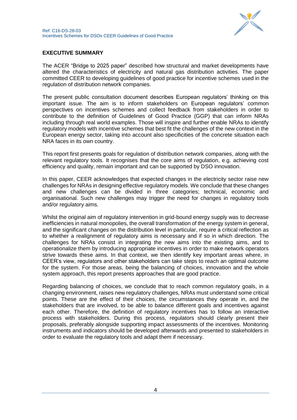

## **EXECUTIVE SUMMARY**

The ACER "Bridge to 2025 paper" described how structural and market developments have altered the characteristics of electricity and natural gas distribution activities. The paper committed CEER to developing guidelines of good practice for incentive schemes used in the regulation of distribution network companies.

The present public consultation document describes European regulators' thinking on this important issue. The aim is to inform stakeholders on European regulators' common perspectives on incentives schemes and collect feedback from stakeholders in order to contribute to the definition of Guidelines of Good Practice (GGP) that can inform NRAs including through real world examples. Those will inspire and further enable NRAs to identify regulatory models with incentive schemes that best fit the challenges of the new context in the European energy sector, taking into account also specificities of the concrete situation each NRA faces in its own country.

This report first presents goals for regulation of distribution network companies, along with the relevant regulatory tools. It recognises that the core aims of regulation, e.g. achieving cost efficiency and quality, remain important and can be supported by DSO innovation.

In this paper, CEER acknowledges that expected changes in the electricity sector raise new challenges for NRAs in designing effective regulatory models. We conclude that these changes and new challenges can be divided in three categories; technical, economic and organisational. Such new challenges may trigger the need for changes in regulatory tools and/or regulatory aims.

Whilst the original aim of regulatory intervention in grid-bound energy supply was to decrease inefficiencies in natural monopolies, the overall transformation of the energy system in general, and the significant changes on the distribution level in particular, require a critical reflection as to whether a realignment of regulatory aims is necessary and if so in which direction. The challenges for NRAs consist in integrating the new aims into the existing aims, and to operationalize them by introducing appropriate incentives in order to make network operators strive towards these aims. In that context, we then identify key important areas where, in CEER's view, regulators and other stakeholders can take steps to reach an optimal outcome for the system. For those areas, being the balancing of choices, innovation and the whole system approach, this report presents approaches that are good practice.

Regarding balancing of choices, we conclude that to reach common regulatory goals, in a changing environment, raises new regulatory challenges, NRAs must understand some critical points. These are the effect of their choices, the circumstances they operate in, and the stakeholders that are involved, to be able to balance different goals and incentives against each other. Therefore, the definition of regulatory incentives has to follow an interactive process with stakeholders. During this process, regulators should clearly present their proposals, preferably alongside supporting impact assessments of the incentives. Monitoring instruments and indicators should be developed afterwards and presented to stakeholders in order to evaluate the regulatory tools and adapt them if necessary.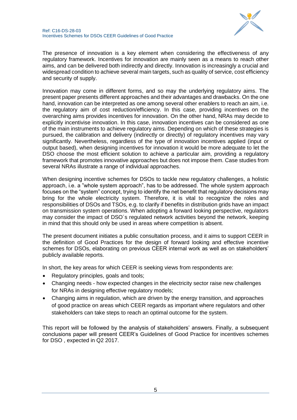

The presence of innovation is a key element when considering the effectiveness of any regulatory framework. Incentives for innovation are mainly seen as a means to reach other aims, and can be delivered both indirectly and directly. Innovation is increasingly a crucial and widespread condition to achieve several main targets, such as quality of service, cost efficiency and security of supply.

Innovation may come in different forms, and so may the underlying regulatory aims. The present paper presents different approaches and their advantages and drawbacks. On the one hand, innovation can be interpreted as one among several other enablers to reach an aim, i.e. the regulatory aim of cost reduction/efficiency. In this case, providing incentives on the overarching aims provides incentives for innovation. On the other hand, NRAs may decide to explicitly incentivise innovation. In this case, innovation incentives can be considered as one of the main instruments to achieve regulatory aims. Depending on which of these strategies is pursued, the calibration and delivery (indirectly or directly) of regulatory incentives may vary significantly. Nevertheless, regardless of the type of innovation incentives applied (input or output based), when designing incentives for innovation it would be more adequate to let the DSO choose the most efficient solution to achieve a particular aim, providing a regulatory framework that promotes innovative approaches but does not impose them. Case studies from several NRAs illustrate a range of individual approaches.

When designing incentive schemes for DSOs to tackle new regulatory challenges, a holistic approach, i.e. a "whole system approach", has to be addressed. The whole system approach focuses on the "system" concept, trying to identify the net benefit that regulatory decisions may bring for the whole electricity system. Therefore, it is vital to recognize the roles and responsibilities of DSOs and TSOs, e.g. to clarify if benefits in distribution grids have an impact on transmission system operations. When adopting a forward looking perspective, regulators may consider the impact of DSO´s regulated network activities beyond the network, keeping in mind that this should only be used in areas where competition is absent.

The present document initiates a public consultation process, and it aims to support CEER in the definition of Good Practices for the design of forward looking and effective incentive schemes for DSOs, elaborating on previous CEER internal work as well as on stakeholders' publicly available reports.

In short, the key areas for which CEER is seeking views from respondents are:

- Regulatory principles, goals and tools;
- Changing needs how expected changes in the electricity sector raise new challenges for NRAs in designing effective regulatory models;
- Changing aims in regulation, which are driven by the energy transition, and approaches of good practice on areas which CEER regards as important where regulators and other stakeholders can take steps to reach an optimal outcome for the system.

This report will be followed by the analysis of stakeholders' answers. Finally, a subsequent conclusions paper will present CEER's Guidelines of Good Practice for incentives schemes for DSO , expected in Q2 2017.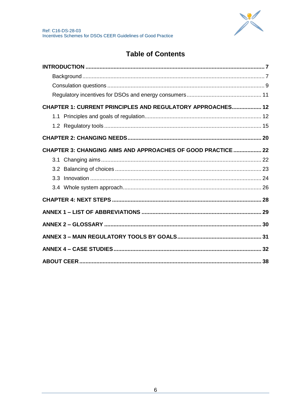

# **Table of Contents**

| CHAPTER 1: CURRENT PRINCIPLES AND REGULATORY APPROACHES 12   |  |
|--------------------------------------------------------------|--|
|                                                              |  |
|                                                              |  |
|                                                              |  |
| CHAPTER 3: CHANGING AIMS AND APPROACHES OF GOOD PRACTICE  22 |  |
|                                                              |  |
|                                                              |  |
|                                                              |  |
|                                                              |  |
|                                                              |  |
|                                                              |  |
|                                                              |  |
|                                                              |  |
|                                                              |  |
|                                                              |  |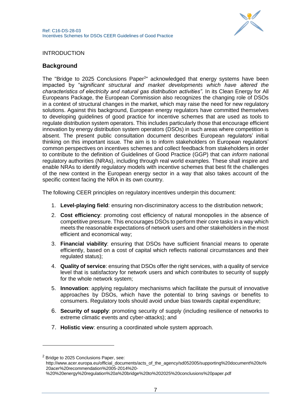

### <span id="page-6-0"></span>INTRODUCTION

### <span id="page-6-1"></span>**Background**

The "Bridge to 2025 Conclusions Paper<sup>2</sup>" acknowledged that energy systems have been impacted by "s*ignificant structural and market developments which have altered the characteristics of electricity and natural gas distribution activities".* In its Clean Energy for All Europeans Package, the European Commission also recognizes the changing role of DSOs in a context of structural changes in the market, which may raise the need for new regulatory solutions. Against this background, European energy regulators have committed themselves to developing guidelines of good practice for incentive schemes that are used as tools to regulate distribution system operators. This includes particularly those that encourage efficient innovation by energy distribution system operators (DSOs) in such areas where competition is absent. The present public consultation document describes European regulators' initial thinking on this important issue. The aim is to inform stakeholders on European regulators' common perspectives on incentives schemes and collect feedback from stakeholders in order to contribute to the definition of Guidelines of Good Practice (GGP) that can *inform* national regulatory authorities (NRAs), including through real world examples. These shall inspire and enable NRAs to identify regulatory models with incentive schemes that best fit the challenges of the new context in the European energy sector in a way that also takes account of the specific context facing the NRA in its own country.

The following CEER principles on regulatory incentives underpin this document:

- 1. **Level-playing field**: ensuring non-discriminatory access to the distribution network;
- 2. **Cost efficiency**: promoting cost efficiency of natural monopolies in the absence of competitive pressure. This encourages DSOs to perform their core tasks in a way which meets the reasonable expectations of network users and other stakeholders in the most efficient and economical way;
- 3. **Financial viability**: ensuring that DSOs have sufficient financial means to operate efficiently, based on a cost of capital which reflects national circumstances and their regulated status);
- 4. **Quality of service**: ensuring that DSOs offer the right services, with a quality of service level that is satisfactory for network users and which contributes to security of supply for the whole network system;
- 5. **Innovation**: applying regulatory mechanisms which facilitate the pursuit of innovative approaches by DSOs, which have the potential to bring savings or benefits to consumers. Regulatory tools should avoid undue bias towards capital expenditure;
- 6. **Security of supply**: promoting security of supply (including resilience of networks to extreme climatic events and cyber-attacks); and
- 7. **Holistic view**: ensuring a coordinated whole system approach.

 $2$  Bridge to 2025 Conclusions Paper, see:

-

http://www.acer.europa.eu/official\_documents/acts\_of\_the\_agency/sd052005/supporting%20document%20to% 20acer%20recommendation%2005-2014%20-

<sup>%20%20</sup>energy%20regulation%20a%20bridge%20to%202025%20conclusions%20paper.pdf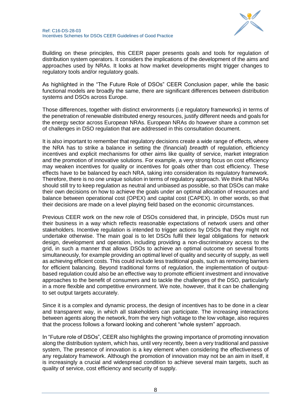

Building on these principles, this CEER paper presents goals and tools for regulation of distribution system operators. It considers the implications of the development of the aims and approaches used by NRAs. It looks at how market developments might trigger changes to regulatory tools and/or regulatory goals.

As highlighted in the "The Future Role of DSOs" CEER Conclusion paper, while the basic functional models are broadly the same, there are significant differences between distribution systems and DSOs across Europe.

Those differences, together with distinct environments (i.e regulatory frameworks) in terms of the penetration of renewable distributed energy resources, justify different needs and goals for the energy sector across European NRAs. European NRAs do however share a common set of challenges in DSO regulation that are addressed in this consultation document.

It is also important to remember that regulatory decisions create a wide range of effects, where the NRA has to strike a balance in setting the (financial) *breadth* of regulation, efficiency incentives and explicit mechanisms for other aims like quality of service, market integration and the promotion of innovative solutions. For example, a very strong focus on cost efficiency may weaken incentives for quality or incentives for goals other than cost efficiency. These effects have to be balanced by each NRA, taking into consideration its regulatory framework. Therefore, there is no one unique solution in terms of regulatory approach. We think that NRAs should still try to keep regulation as neutral and unbiased as possible, so that DSOs can make their own decisions on how to achieve the goals under an optimal allocation of resources and balance between operational cost (OPEX) and capital cost (CAPEX). In other words, so that their decisions are made on a level playing field based on the economic circumstances.

Previous CEER work on the new role of DSOs considered that, in principle, DSOs must run their business in a way which reflects reasonable expectations of network users and other stakeholders. Incentive regulation is intended to trigger actions by DSOs that they might not undertake otherwise. The main goal is to let DSOs fulfil their legal obligations for network design, development and operation, including providing a non-discriminatory access to the grid, in such a manner that allows DSOs to achieve an optimal outcome on several fronts simultaneously, for example providing an optimal level of quality and security of supply, as well as achieving efficient costs. This could include less traditional goals, such as removing barriers for efficient balancing. Beyond traditional forms of regulation, the implementation of outputbased regulation could also be an effective way to promote efficient investment and innovative approaches to the benefit of consumers and to tackle the challenges of the DSO, particularly in a more flexible and competitive environment. We note, however, that it can be challenging to set output targets accurately.

Since it is a complex and dynamic process, the design of incentives has to be done in a clear and transparent way, in which all stakeholders can participate. The increasing interactions between agents along the network, from the very high voltage to the low voltage, also requires that the process follows a forward looking and coherent "whole system" approach.

In "Future role of DSOs", CEER also highlights the growing importance of promoting innovation along the distribution system, which has, until very recently, been a very traditional and passive system, The presence of innovation is a key element when considering the effectiveness of any regulatory framework. Although the promotion of innovation may not be an aim in itself, it is increasingly a crucial and widespread condition to achieve several main targets, such as quality of service, cost efficiency and security of supply.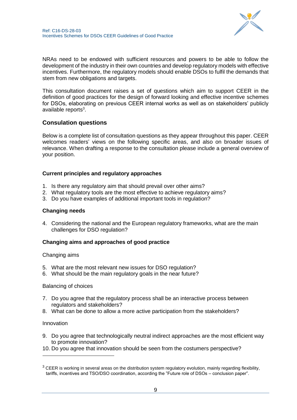

NRAs need to be endowed with sufficient resources and powers to be able to follow the development of the industry in their own countries and develop regulatory models with effective incentives. Furthermore, the regulatory models should enable DSOs to fulfil the demands that stem from new obligations and targets.

This consultation document raises a set of questions which aim to support CEER in the definition of good practices for the design of forward looking and effective incentive schemes for DSOs, elaborating on previous CEER internal works as well as on stakeholders' publicly available reports<sup>3</sup>.

## <span id="page-8-0"></span>**Consulation questions**

Below is a complete list of consultation questions as they appear throughout this paper. CEER welcomes readers' views on the following specific areas, and also on broader issues of relevance. When drafting a response to the consultation please include a general overview of your position.

#### **Current principles and regulatory approaches**

- 1. Is there any regulatory aim that should prevail over other aims?
- 2. What regulatory tools are the most effective to achieve regulatory aims?
- 3. Do you have examples of additional important tools in regulation?

#### **Changing needs**

4. Considering the national and the European regulatory frameworks, what are the main challenges for DSO regulation?

#### **Changing aims and approaches of good practice**

Changing aims

- 5. What are the most relevant new issues for DSO regulation?
- 6. What should be the main regulatory goals in the near future?

#### Balancing of choices

- 7. Do you agree that the regulatory process shall be an interactive process between regulators and stakeholders?
- 8. What can be done to allow a more active participation from the stakeholders?

#### Innovation

-

- 9. Do you agree that technologically neutral indirect approaches are the most efficient way to promote innovation?
- 10. Do you agree that innovation should be seen from the costumers perspective?

 $3$  CEER is working in several areas on the distribution system regulatory evolution, mainly regarding flexibility, tariffs, incentives and TSO/DSO coordination, according the "Future role of DSOs – conclusion paper".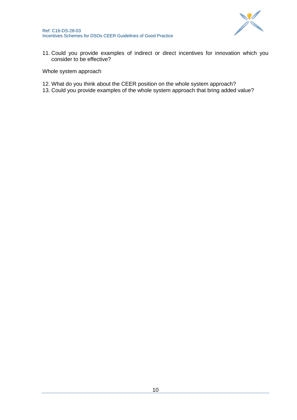

11. Could you provide examples of indirect or direct incentives for innovation which you consider to be effective?

Whole system approach

- 12. What do you think about the CEER position on the whole system approach?
- 13. Could you provide examples of the whole system approach that bring added value?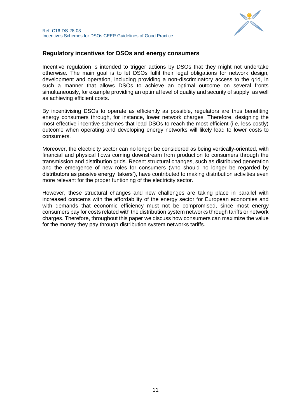

## <span id="page-10-0"></span>**Regulatory incentives for DSOs and energy consumers**

Incentive regulation is intended to trigger actions by DSOs that they might not undertake otherwise. The main goal is to let DSOs fulfil their legal obligations for network design, development and operation, including providing a non-discriminatory access to the grid, in such a manner that allows DSOs to achieve an optimal outcome on several fronts simultaneously, for example providing an optimal level of quality and security of supply, as well as achieving efficient costs.

By incentivising DSOs to operate as efficiently as possible, regulators are thus benefiting energy consumers through, for instance, lower network charges. Therefore, designing the most effective incentive schemes that lead DSOs to reach the most efficient (i.e, less costly) outcome when operating and developing energy networks will likely lead to lower costs to consumers.

Moreover, the electricity sector can no longer be considered as being vertically-oriented, with financial and physical flows coming downstream from production to consumers through the transmission and distribution grids. Recent structural changes, such as distributed generation and the emergence of new roles for consumers (who should no longer be regarded by distributors as passive energy 'takers'), have contributed to making distribution activities even more relevant for the proper funtioning of the electricity sector.

However, these structural changes and new challenges are taking place in parallel with increased concerns with the affordability of the energy sector for European economies and with demands that economic efficiency must not be compromised, since most energy consumers pay for costs related with the distribution system networks through tariffs or network charges. Therefore, throughout this paper we discuss how consumers can maximize the value for the money they pay through distribution system networks tariffs.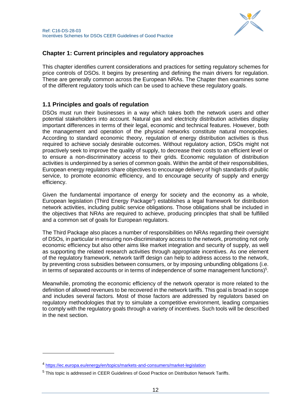## <span id="page-11-0"></span>**Chapter 1: Current principles and regulatory approaches**

This chapter identifies current considerations and practices for setting regulatory schemes for price controls of DSOs. It begins by presenting and defining the main drivers for regulation. These are generally common across the European NRAs. The Chapter then examines some of the different regulatory tools which can be used to achieve these regulatory goals.

## <span id="page-11-1"></span>**1.1 Principles and goals of regulation**

DSOs must run their businesses in a way which takes both the network users and other potential stakeholders into account. Natural gas and electricity distribution activities display important differences in terms of their legal, economic and technical features. However, both the management and operation of the physical networks constitute natural monopolies. According to standard economic theory, regulation of energy distribution activities is thus required to achieve socialy desirable outcomes. Without regulatory action, DSOs might not proactively seek to improve the quality of supply, to decrease their costs to an efficient level or to ensure a non-discriminatory access to their grids. Economic regulation of distribution activities is underpinned by a series of common goals. Within the ambit of their responsibilities, European energy regulators share objectives to encourage delivery of high standards of public service, to promote economic efficiency, and to encourage security of supply and energy efficiency.

Given the fundamental importance of energy for society and the economy as a whole, European legislation (Third Energy Package<sup>4</sup>) establishes a legal framework for distribution network activities, including public service obligations. Those obligations shall be included in the objectives that NRAs are required to achieve, producing principles that shall be fulfilled and a common set of goals for European regulators.

The Third Package also places a number of responsibilities on NRAs regarding their oversight of DSOs, in particular in ensuring non-discriminatory access to the network, promoting not only economic efficiency but also other aims like market integration and security of supply, as well as supporting the related research activities through appropriate incentives. As one element of the regulatory framework, network tariff design can help to address access to the network, by preventing cross subsidies between consumers, or by imposing unbundling obligations (i.e. in terms of separated accounts or in terms of independence of some management functions) $5$ .

Meanwhile, promoting the economic efficiency of the network operator is more related to the definition of allowed revenues to be recovered in the network tariffs. This goal is broad in scope and includes several factors. Most of those factors are addressed by regulators based on regulatory methodologies that try to simulate a competitive environment, leading companies to comply with the regulatory goals through a variety of incentives. Such tools will be described in the next section.

 $\overline{a}$ 

<sup>4</sup> <https://ec.europa.eu/energy/en/topics/markets-and-consumers/market-legislation>

<sup>5</sup> This topic is addressed in CEER Guidelines of Good Practice on Distribution Network Tariffs.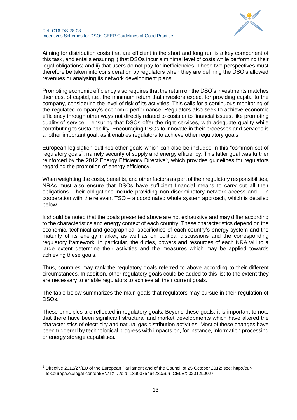

Aiming for distribution costs that are efficient in the short and long run is a key component of this task, and entails ensuring i) that DSOs incur a minimal level of costs while performing their legal obligations; and ii) that users do not pay for inefficiencies. These two perspectives must therefore be taken into consideration by regulators when they are defining the DSO's allowed revenues or analysing its network development plans.

Promoting economic efficiency also requires that the return on the DSO's investments matches their cost of capital, i.e., the minimum return that investors expect for providing capital to the company, considering the level of risk of its activities. This calls for a continuous monitoring of the regulated company's economic performance. Regulators also seek to achieve economic efficiency through other ways not directly related to costs or to financial issues, like promoting quality of service – ensuring that DSOs offer the right services, with adequate quality while contributing to sustainability. Encouraging DSOs to innovate in their processes and services is another important goal, as it enables regulators to achieve other regulatory goals.

European legislation outlines other goals which can also be included in this "common set of regulatory goals", namely security of supply and energy efficiency. This latter goal was further reinforced by the 2012 Energy Efficiency Directive<sup>6</sup>, which provides guidelines for regulators regarding the promotion of energy efficiency.

When weighting the costs, benefits, and other factors as part of their regulatory responsibilities, NRAs must also ensure that DSOs have sufficient financial means to carry out all their obligations. Their obligations include providing non-discriminatory network access and – in cooperation with the relevant TSO – a coordinated whole system approach, which is detailed below.

It should be noted that the goals presented above are not exhaustive and may differ according to the characteristics and energy context of each country. These characteristics depend on the economic, technical and geographical specificities of each country's energy system and the maturity of its energy market, as well as on political discussions and the corresponding regulatory framework. In particular, the duties, powers and resources of each NRA will to a large extent determine their activities and the measures which may be applied towards achieving these goals.

Thus, countries may rank the regulatory goals referred to above according to their different circumstances. In addition, other regulatory goals could be added to this list to the extent they are necessary to enable regulators to achieve all their current goals.

The table below summarizes the main goals that regulators may pursue in their regulation of DSOs.

These principles are reflected in regulatory goals. Beyond these goals, it is important to note that there have been significant structural and market developments which have altered the characteristics of electricity and natural gas distribution activities. Most of these changes have been triggered by technological progress with impacts on, for instance, information processing or energy storage capabilities.

-

<sup>6</sup> Directive 2012/27/EU of the European Parliament and of the Council of 25 October 2012; see: http://eurlex.europa.eu/legal-content/EN/TXT/?qid=1399375464230&uri=CELEX:32012L0027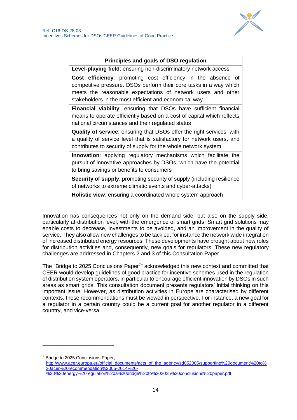

#### **Principles and goals of DSO regulation**

**Level-playing field**: ensuring non-discriminatory network access

**Cost efficiency**: promoting cost efficiency in the absence of competitive pressure. DSOs perform their core tasks in a way which meets the reasonable expectations of network users and other stakeholders in the most efficient and economical way

**Financial viability**: ensuring that DSOs have sufficient financial means to operate efficiently based on a cost of capital which reflects national circumstances and their regulated status

**Quality of service**: ensuring that DSOs offer the right services, with a quality of service level that is satisfactory for network users, and contributes to security of supply for the whole network system

**Innovation**: applying regulatory mechanisms which facilitate the pursuit of innovative approaches by DSOs, which have the potential to bring savings or benefits to consumers

**Security of supply:** promoting security of supply (including resilience) of networks to extreme climatic events and cyber-attacks)

**Holistic view**: ensuring a coordinated whole system approach

Innovation has consequences not only on the demand side, but also on the supply side, particularly at distribution level, with the emergence of smart grids. Smart grid solutions may enable costs to decrease, investments to be avoided, and an improvement in the quality of service. They also allow new challenges to be tackled, for instance the network wide integration of increased distributed energy resources. These developments have brought about new roles for distribution activities and, consequently, new goals for regulators. These new regulatory challenges are addressed in Chapters 2 and 3 of this Consultation Paper.

The "Bridge to 2025 Conclusions Paper<sup>7</sup>" acknowledged this new context and committed that CEER would develop guidelines of good practice for incentive schemes used in the regulation of distribution system operators, in particular to encourage efficient innovation by DSOs in such areas as smart grids. This consultation document presents regulators' initial thinking on this important issue. However, as distribution activities in Europe are characterised by different contexts, these recommendations must be viewed in perspective. For instance, a new goal for a regulator in a certain country could be a current goal for another regulator in a different country, and vice-versa.

 $7$  Bridge to 2025 Conclusions Paper;

-

[http://www.acer.europa.eu/official\\_documents/acts\\_of\\_the\\_agency/sd052005/supporting%20document%20to%](http://www.acer.europa.eu/official_documents/acts_of_the_agency/sd052005/supporting%20document%20to%20acer%20recommendation%2005-2014%20-%20%20energy%20regulation%20a%20bridge%20to%202025%20conclusions%20paper.pdf) [20acer%20recommendation%2005-2014%20-](http://www.acer.europa.eu/official_documents/acts_of_the_agency/sd052005/supporting%20document%20to%20acer%20recommendation%2005-2014%20-%20%20energy%20regulation%20a%20bridge%20to%202025%20conclusions%20paper.pdf)

[%20%20energy%20regulation%20a%20bridge%20to%202025%20conclusions%20paper.pdf](http://www.acer.europa.eu/official_documents/acts_of_the_agency/sd052005/supporting%20document%20to%20acer%20recommendation%2005-2014%20-%20%20energy%20regulation%20a%20bridge%20to%202025%20conclusions%20paper.pdf)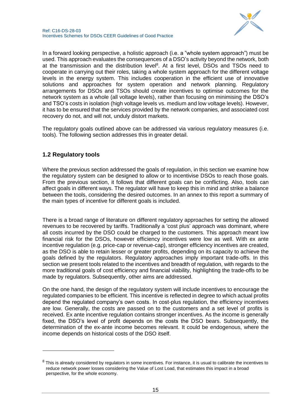In a forward looking perspective, a holistic approach (i.e. a "whole system approach") must be used. This approach evaluates the consequences of a DSO's activity beyond the network, both at the transmission and the distribution level<sup>8</sup>. At a first level, DSOs and TSOs need to cooperate in carrying out their roles, taking a whole system approach for the different voltage levels in the energy system. This includes cooperation in the efficient use of innovative solutions and approaches for system operation and network planning. Regulatory arrangements for DSOs and TSOs should create incentives to optimise outcomes for the network system as a whole (all voltage levels), rather than focusing on minimising the DSO's and TSO's costs in isolation (high voltage levels vs. medium and low voltage levels). However, it has to be ensured that the services provided by the network companies, and associated cost recovery do not, and will not, unduly distort markets.

The regulatory goals outlined above can be addressed via various regulatory measures (i.e. tools). The following section addresses this in greater detail.

## <span id="page-14-0"></span>**1.2 Regulatory tools**

1

Where the previous section addressed the goals of regulation, in this section we examine how the regulatory system can be designed to allow or to incentivise DSOs to reach those goals. From the previous section, it follows that different goals can be conflicting. Also, tools can affect goals in different ways. The regulator will have to keep this in mind and strike a balance between the tools, considering the desired outcomes. In an annex to this report a summary of the main types of incentive for different goals is included.

There is a broad range of literature on different regulatory approaches for setting the allowed revenues to be recovered by tariffs. Traditionally a 'cost plus' approach was dominant, where all costs incurred by the DSO could be charged to the customers. This approach meant low financial risk for the DSOs, however efficiency incentives were low as well. With ex ante incentive regulation (e.g. price-cap or revenue-cap), stronger efficiency incentives are created, as the DSO is able to retain lesser or greater profits, depending on its capacity to achieve the goals defined by the regulators. Regulatory approaches imply important trade-offs. In this section we present tools related to the incentives and breadth of regulation, with regards to the more traditional goals of cost efficiency and financial viability, highlighting the trade-offs to be made by regulators. Subsequently, other aims are addressed.

On the one hand, the design of the regulatory system will include incentives to encourage the regulated companies to be efficient. This incentive is reflected in degree to which actual profits depend the regulated company's own costs. In cost-plus regulation, the efficiency incentives are low. Generally, the costs are passed on to the customers and a set level of profits is received. Ex ante incentive regulation contains stronger incentives. As the income is generally fixed, the DSO's level of profit depends on the costs the DSO bears. Subsequently, the determination of the ex-ante income becomes relevant. It could be endogenous, where the income depends on historical costs of the DSO itself.

 $8$  This is already considered by regulators in some incentives. For instance, it is usual to calibrate the incentives to reduce network power losses considering the Value of Lost Load, that estimates this impact in a broad perspective, for the whole economy.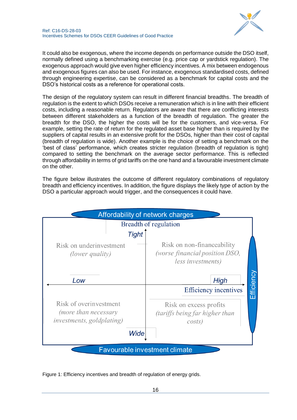

It could also be exogenous, where the income depends on performance outside the DSO itself, normally defined using a benchmarking exercise (e.g. price cap or yardstick regulation). The exogenous approach would give even higher efficiency incentives. A mix between endogenous and exogenous figures can also be used. For instance, exogenous standardised costs, defined through engineering expertise, can be considered as a benchmark for capital costs and the DSO's historical costs as a reference for operational costs.

The design of the regulatory system can result in different financial breadths. The breadth of regulation is the extent to which DSOs receive a remuneration which is in line with their efficient costs, including a reasonable return. Regulators are aware that there are conflicting interests between different stakeholders as a function of the breadth of regulation. The greater the breadth for the DSO, the higher the costs will be for the customers, and vice-versa. For example, setting the rate of return for the regulated asset base higher than is required by the suppliers of capital results in an extensive profit for the DSOs, higher than their cost of capital (breadth of regulation is wide). Another example is the choice of setting a benchmark on the 'best of class' performance, which creates stricter regulation (breadth of regulation is tight) compared to setting the benchmark on the average sector performance. This is reflected through affordability in terms of grid tariffs on the one hand and a favourable investment climate on the other.

The figure below illustrates the outcome of different regulatory combinations of regulatory breadth and efficiency incentives. In addition, the figure displays the likely type of action by the DSO a particular approach would trigger, and the consequences it could have.

|                                                                                     | Affordability of network charges                                                                   |
|-------------------------------------------------------------------------------------|----------------------------------------------------------------------------------------------------|
|                                                                                     | Breadth of regulation                                                                              |
| <b>Tight</b>                                                                        |                                                                                                    |
| Risk on underinvestment<br><i>(lower quality)</i>                                   | Risk on non-financeability<br><i>(worse financial position DSO,</i><br>less investments)           |
| Low                                                                                 | Efficiency<br>High                                                                                 |
| Risk of overinvestment<br>(more than necessary<br><i>investments, goldplating</i> ) | <b>Efficiency incentives</b><br>Risk on excess profits<br>(tariffs being far higher than<br>costs) |
| Wide                                                                                |                                                                                                    |
|                                                                                     | <b>Favourable investment climate</b>                                                               |

Figure 1: Efficiency incentives and breadth of regulation of energy grids.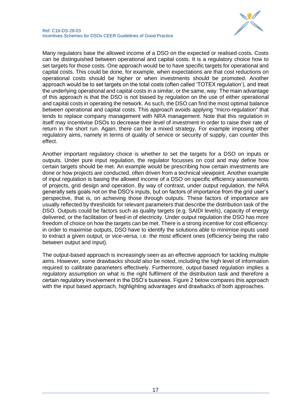

Many regulators base the allowed income of a DSO on the expected or realised costs. Costs can be distinguished between operational and capital costs. It is a regulatory choice how to set targets for those costs. One approach would be to have specific targets for operational and capital costs. This could be done, for example, when expectations are that cost reductions on operational costs should be higher or when investments should be promoted. Another approach would be to set targets on the total costs (often called 'TOTEX regulation'), and treat the underlying operational and capital costs in a similar, or the same, way. The main advantage of this approach is that the DSO is not biased by regulation on the use of either operational and capital costs in operating the network. As such, the DSO can find the most optimal balance between operational and capital costs. This approach avoids applying "micro-regulation" that tends to replace company management with NRA management. Note that this regulation in itself may incentivise DSOs to decrease their level of investment in order to raise their rate of return in the short run. Again, there can be a mixed strategy. For example imposing other regulatory aims, namely in terms of quality of service or security of supply, can counter this effect.

Another important regulatory choice is whether to set the targets for a DSO on inputs or outputs. Under pure input regulation, the regulator focusses on cost and may define how certain targets should be met. An example would be prescribing how certain investments are done or how projects are conducted, often driven from a technical viewpoint. Another example of input regulation is basing the allowed income of a DSO on specific efficiency assessments of projects, grid design and operation. By way of contrast, under output regulation, the NRA generally sets goals not on the DSO's inputs, but on factors of importance from the grid user's perspective, that is, on achieving those through outputs. These factors of importance are usually reflected by thresholds for relevant parameters that describe the distribution task of the DSO. Outputs could be factors such as quality targets (e.g. SAIDI levels), capacity of energy delivered, or the facilitation of feed-in of electricity. Under output regulation the DSO has more freedom of choice on how the targets can be met. There is a strong incentive for cost efficiency: in order to maximise outputs, DSO have to identify the solutions able to minimise inputs used to extract a given output, or vice-versa, i.e. the most efficient ones (efficiency being the ratio between output and input).

The output-based approach is increasingly seen as an effective approach for tackling multiple aims. However, some drawbacks should also be noted, including the high level of information required to calibrate parameters effectively. Furthermore, output-based regulation implies a regulatory assumption on what is the right fulfilment of the distribution task and therefore a certain regulatory involvement in the DSO's business. Figure 2 below compares this approach with the input based approach, highlighting advantages and drawbacks of both approaches.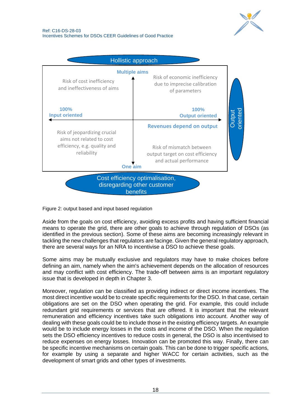



Figure 2: output based and input based regulation

Aside from the goals on cost efficiency, avoiding excess profits and having sufficient financial means to operate the grid, there are other goals to achieve through regulation of DSOs (as identified in the previous section). Some of these aims are becoming increasingly relevant in tackling the new challenges that regulators are facinge. Given the general regulatory approach, there are several ways for an NRA to incentivise a DSO to achieve these goals.

Some aims may be mutually exclusive and regulators may have to make choices before defining an aim, namely when the aim's achievement depends on the allocation of resources and may conflict with cost efficiency. The trade-off between aims is an important regulatory issue that is developed in depth in Chapter 3.

Moreover, regulation can be classified as providing indirect or direct income incentives. The most direct incentive would be to create specific requirements for the DSO. In that case, certain obligations are set on the DSO when operating the grid. For example, this could include redundant grid requirements or services that are offered. It is important that the relevant remuneration and efficiency incentives take such obligations into account. Another way of dealing with these goals could be to include those in the existing efficiency targets. An example would be to include energy losses in the costs and income of the DSO. When the regulation sets the DSO efficiency incentives to reduce costs in general, the DSO is also incentivised to reduce expenses on energy losses. Innovation can be promoted this way. Finally, there can be specific incentive mechanisms on certain goals. This can be done to trigger specific actions, for example by using a separate and higher WACC for certain activities, such as the development of smart grids and other types of investments.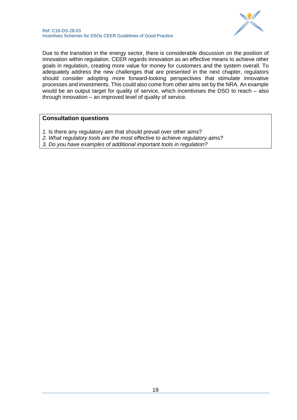

Due to the transition in the energy sector, there is considerable discussion on the position of innovation within regulation. CEER regards innovation as an effective means to achieve other goals in regulation, creating more value for money for customers and the system overall. To adequately address the new challenges that are presented in the next chapter, regulators should consider adopting more forward-looking perspectives that stimulate innovative processes and investments. This could also come from other aims set by the NRA. An example would be an output target for quality of service, which incentivises the DSO to reach – also through innovation – an improved level of quality of service.

## **Consultation questions**

- *1.* Is there any regulatory aim that should prevail over other aims?
- *2. What regulatory tools are the most effective to achieve regulatory aims?*
- *3. Do you have examples of additional important tools in regulation?*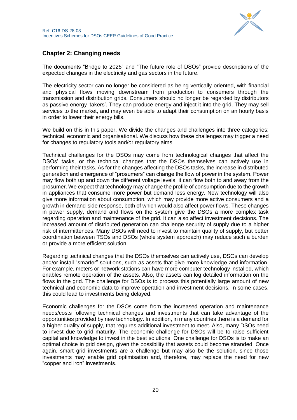

## <span id="page-19-0"></span>**Chapter 2: Changing needs**

The documents "Bridge to 2025" and "The future role of DSOs" provide descriptions of the expected changes in the electricity and gas sectors in the future.

The electricity sector can no longer be considered as being vertically-oriented, with financial and physical flows moving downstream from production to consumers through the transmission and distribution grids. Consumers should no longer be regarded by distributors as passive energy 'takers'. They can produce energy and inject it into the grid. They may sell services to the market, and may even be able to adapt their consumption on an hourly basis in order to lower their energy bills.

We build on this in this paper. We divide the changes and challenges into three categories: technical, economic and organisational. We discuss how these challenges may trigger a need for changes to regulatory tools and/or regulatory aims.

Technical challenges for the DSOs may come from technological changes that affect the DSOs' tasks, or the technical changes that the DSOs themselves can actively use in performing their tasks. As for the changes affecting the DSOs tasks, the increase in distributed generation and emergence of "prosumers" can change the flow of power in the system. Power may flow both up and down the different voltage levels; it can flow both to and away from the prosumer. We expect that technology may change the profile of consumption due to the growth in appliances that consume more power but demand less energy. New technology will also give more information about consumption, which may provide more active consumers and a growth in demand-side response, both of which would also affect power flows. These changes in power supply, demand and flows on the system give the DSOs a more complex task regarding operation and maintenance of the grid. It can also affect investment decisions. The increased amount of distributed generation can challenge security of supply due to a higher risk of intermittences. Many DSOs will need to invest to maintain quality of supply, but better coordination between TSOs and DSOs (whole system approach) may reduce such a burden or provide a more efficient solution

Regarding technical changes that the DSOs themselves can actively use, DSOs can develop and/or install "smarter" solutions, such as assets that give more knowledge and information. For example, meters or network stations can have more computer technology installed, which enables remote operation of the assets. Also, the assets can log detailed information on the flows in the grid. The challenge for DSOs is to process this potentially large amount of new technical and economic data to improve operation and investment decisions. In some cases, this could lead to investments being delayed.

Economic challenges for the DSOs come from the increased operation and maintenance needs/costs following technical changes and investments that can take advantage of the opportunities provided by new technology. In addition, in many countries there is a demand for a higher quality of supply, that requires additional investment to meet. Also, many DSOs need to invest due to grid maturity. The economic challenge for DSOs will be to raise sufficient capital and knowledge to invest in the best solutions. One challenge for DSOs is to make an optimal choice in grid design, given the possibility that assets could become stranded. Once again, smart grid investments are a challenge but may also be the solution, since those investments may enable grid optimisation and, therefore, may replace the need for new "copper and iron" investments.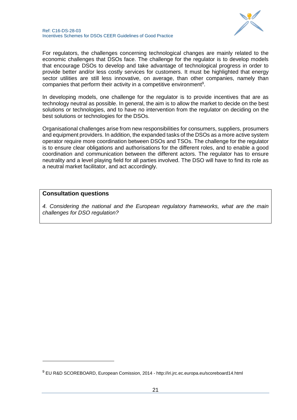

For regulators, the challenges concerning technological changes are mainly related to the economic challenges that DSOs face. The challenge for the regulator is to develop models that encourage DSOs to develop and take advantage of technological progress in order to provide better and/or less costly services for customers. It must be highlighted that energy sector utilities are still less innovative, on average, than other companies, namely than companies that perform their activity in a competitive environment<sup>9</sup>.

In developing models, one challenge for the regulator is to provide incentives that are as technology neutral as possible. In general, the aim is to allow the market to decide on the best solutions or technologies, and to have no intervention from the regulator on deciding on the best solutions or technologies for the DSOs.

Organisational challenges arise from new responsibilities for consumers, suppliers, prosumers and equipment providers. In addition, the expanded tasks of the DSOs as a more active system operator require more coordination between DSOs and TSOs. The challenge for the regulator is to ensure clear obligations and authorisations for the different roles, and to enable a good coordination and communication between the different actors. The regulator has to ensure neutrality and a level playing field for all parties involved. The DSO will have to find its role as a neutral market facilitator, and act accordingly.

#### **Consultation questions**

1

*4. Considering the national and the European regulatory frameworks, what are the main challenges for DSO regulation?*

<sup>9</sup> EU R&D SCOREBOARD, European Comission, 2014 - http://iri.jrc.ec.europa.eu/scoreboard14.html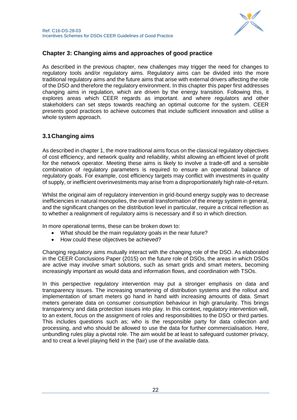

## <span id="page-21-0"></span>**Chapter 3: Changing aims and approaches of good practice**

As described in the previous chapter, new challenges may trigger the need for changes to regulatory tools and/or regulatory aims. Regulatory aims can be divided into the more traditional regulatory aims and the future aims that arise with external drivers affecting the role of the DSO and therefore the regulatory environment. In this chapter this paper first addresses changing aims in regulation, which are driven by the energy transition. Following this, it explores areas which CEER regards as important. and where regulators and other stakeholders can set steps towards reaching an optimal outcome for the system. CEER presents good practices to achieve outcomes that include sufficient innovation and utilise a whole system approach.

## <span id="page-21-1"></span>**3.1Changing aims**

As described in chapter 1, the more traditional aims focus on the classical regulatory objectives of cost efficiency, and network quality and reliability, whilst allowing an efficient level of profit for the network operator. Meeting these aims is likely to involve a trade-off and a sensible combination of regulatory parameters is required to ensure an operational balance of regulatory goals. For example, cost efficiency targets may conflict with investments in quality of supply, or inefficient overinvestments may arise from a disproportionately high rate-of-return.

Whilst the original aim of regulatory intervention in grid-bound energy supply was to decrease inefficiencies in natural monopolies, the overall transformation of the energy system in general, and the significant changes on the distribution level in particular, require a critical reflection as to whether a realignment of regulatory aims is necessary and if so in which direction.

In more operational terms, these can be broken down to:

- What should be the main regulatory goals in the near future?
- How could these objectives be achieved?

Changing regulatory aims mutually interact with the changing role of the DSO. As elaborated in the CEER Conclusions Paper (2015) on the future role of DSOs, the areas in which DSOs are active may involve smart solutions, such as smart grids and smart meters, becoming increasingly important as would data and information flows, and coordination with TSOs.

In this perspective regulatory intervention may put a stronger emphasis on data and transparency issues. The increasing smartening of distribution systems and the rollout and implementation of smart meters go hand in hand with increasing amounts of data. Smart meters generate data on consumer consumption behaviour in high granularity. This brings transparency and data protection issues into play. In this context, regulatory intervention will, to an extent, focus on the assignment of roles and responsibilities to the DSO or third parties. This includes questions such as; who is the responsible party for data collection and processing, and who should be allowed to use the data for further commercialisation. Here, unbundling rules play a pivotal role. The aim would be at least to safeguard customer privacy, and to creat a level playing field in the (fair) use of the available data.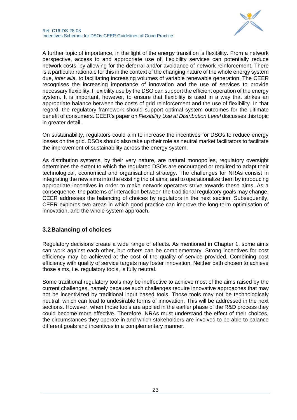

A further topic of importance, in the light of the energy transition is flexibility. From a network perspective, access to and appropriate use of, flexibility services can potentially reduce network costs, by allowing for the deferral and/or avoidance of network reinforcement. There is a particular rationale for this in the context of the changing nature of the whole energy system due, *inter alia,* to facilitating increasing volumes of variable renewable generation. The CEER recognises the increasing importance of innovation and the use of services to provide necessary flexibility. Flexibility use by the DSO can support the efficient operation of the energy system. It is important, however, to ensure that flexibility is used in a way that strikes an appropriate balance between the costs of grid reinforcement and the use of flexibility. In that regard, the regulatory framework should support optimal system outcomes for the ultimate benefit of consumers. CEER's paper on *Flexibility Use at Distribution Level* discusses this topic in greater detail.

On sustainability, regulators could aim to increase the incentives for DSOs to reduce energy losses on the grid. DSOs should also take up their role as neutral market facilitators to facilitate the improvement of sustainability across the energy system.

As distribution systems, by their very nature, are natural monopolies, regulatory oversight determines the extent to which the regulated DSOs are encouraged or required to adapt their technological, economical and organisational strategy. The challenges for NRAs consist in integrating the new aims into the existing trio of aims, and to operationalize them by introducing appropriate incentives in order to make network operators strive towards these aims. As a consequence, the patterns of interaction between the traditional regulatory goals may change. CEER addresses the balancing of choices by regulators in the next section. Subsequently, CEER explores two areas in which good practice can improve the long-term optimisation of innovation, and the whole system approach.

## <span id="page-22-0"></span>**3.2Balancing of choices**

Regulatory decisions create a wide range of effects. As mentioned in Chapter 1, some aims can work against each other, but others can be complementary. Strong incentives for cost efficiency may be achieved at the cost of the quality of service provided. Combining cost efficiency with quality of service targets may foster innovation. Neither path chosen to achieve those aims, i.e. regulatory tools, is fully neutral.

Some traditional regulatory tools may be ineffective to achieve most of the aims raised by the current challenges, namely because such challenges require innovative approaches that may not be incentivized by traditional input based tools. Those tools may not be technologicaly neutral, which can lead to undesirable forms of innovation. This will be addressed in the next sections. However, when those tools are applied in the earlier phase of the R&D process they could become more effective. Therefore, NRAs must understand the effect of their choices, the circumstances they operate in and which stakeholders are involved to be able to balance different goals and incentives in a complementary manner.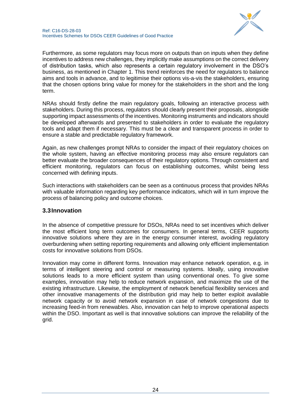

Furthermore, as some regulators may focus more on outputs than on inputs when they define incentives to address new challenges, they implicitly make assumptions on the correct delivery of distribution tasks, which also represents a certain regulatory involvement in the DSO's business, as mentioned in Chapter 1. This trend reinforces the need for regulators to balance aims and tools in advance, and to legitimise their options vis-a-vis the stakeholders, ensuring that the chosen options bring value for money for the stakeholders in the short and the long term.

NRAs should firstly define the main regulatory goals, following an interactive process with stakeholders. During this process, regulators should clearly present their proposals, alongside supporting impact assessments of the incentives. Monitoring instruments and indicators should be developed afterwards and presented to stakeholders in order to evaluate the regulatory tools and adapt them if necessary. This must be a clear and transparent process in order to ensure a stable and predictable regulatory framework.

Again, as new challenges prompt NRAs to consider the impact of their regulatory choices on the whole system, having an effective monitoring process may also ensure regulators can better evaluate the broader consequences of their regulatory options. Through consistent and efficient monitoring, regulators can focus on establishing outcomes, whilst being less concerned with defining inputs.

Such interactions with stakeholders can be seen as a continuous process that provides NRAs with valuable information regarding key performance indicators, which will in turn improve the process of balancing policy and outcome choices.

### <span id="page-23-0"></span>**3.3Innovation**

In the absence of competitive pressure for DSOs, NRAs need to set incentives which deliver the most efficient long term outcomes for consumers. In general terms, CEER supports innovative solutions where they are in the energy consumer interest, avoiding regulatory overburdening when setting reporting requirements and allowing only efficient implementation costs for innovative solutions from DSOs.

Innovation may come in different forms. Innovation may enhance network operation, e.g. in terms of intelligent steering and control or measuring systems. Ideally, using innovative solutions leads to a more efficient system than using conventional ones. To give some examples, innovation may help to reduce network expansion, and maximize the use of the existing infrastructure. Likewise, the employment of network beneficial flexibility services and other innovative managements of the distribution grid may help to better exploit available network capacity or to avoid network expansion in case of network congestions due to increasing feed-in from renewables. Also, innovation can help to improve operational aspects within the DSO. Important as well is that innovative solutions can improve the reliability of the grid.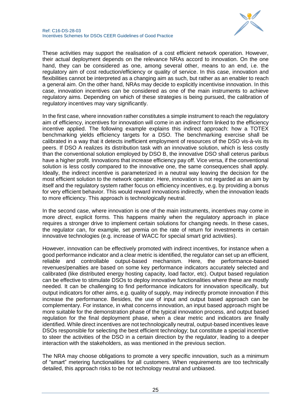

These activities may support the realisation of a cost efficient network operation. However, their actual deployment depends on the relevance NRAs accord to innovation. On the one hand, they can be considered as one, among several other, means to an end, i.e. the regulatory aim of cost reduction/efficiency or quality of service. In this case, innovation and flexibilities cannot be interpreted as a changing aim as such, but rather as an enabler to reach a general aim. On the other hand, NRAs may decide to explicitly incentivise innovation. In this case, innovation incentives can be considered as one of the main instruments to achieve regulatory aims. Depending on which of these strategies is being pursued, the calibration of regulatory incentives may vary significantly.

In the first case, where innovation rather constitutes a simple instrument to reach the regulatory aim of efficiency, incentives for innovation will come in an *indirect* form linked to the efficiency incentive applied. The following example explains this indirect approach: how a TOTEX benchmarking yields efficiency targets for a DSO. The benchmarking exercise shall be calibrated in a way that it detects inefficient employment of resources of the DSO vis-à-vis its peers. If DSO A realizes its distribution task with an innovative solution, which is less costly than the conventional solution employed by DSO B, the innovative DSO shall ceterus paribus have a higher profit. Innovations that increase efficiency pay off. Vice versa, if the conventional solution is less costly compared to the innovative one, the same consequences shall apply. Ideally, the indirect incentive is parameterized in a neutral way leaving the decision for the most efficient solution to the network operator. Here, innovation is not regarded as an aim by itself and the regulatory system rather focus on efficiency incentives, e.g. by providing a bonus for very efficient behavior. This would reward innovations indirectly, when the innovation leads to more efficiency. This approach is technologically neutral.

In the second case, where innovation is one of the main instruments, incentives may come in more *direct*, explicit forms. This happens mainly when the regulatory approach in place requires a stronger drive to implement certain solutions for changing needs. In these cases, the regulator can, for example, set premia on the rate of return for investments in certain innovative technologies (e.g. increase of WACC for special smart grid activities).

However, innovation can be effectively promoted with indirect incentives, for instance when a good performance indicator and a clear metric is identified, the regulator can set up an efficient, reliable and controllable output-based mechanism. Here, the performance-based revenues/penalties are based on some key performance indicators accurately selected and calibrated (like distributed energy hosting capacity, load factor, etc). Output based regulation can be effective to stimulate DSOs to deploy innovative functionalities where these are mostly needed. It can be challenging to find performance indicators for innovation specifically, but output indicators for other aims, e.g. quality of supply, may indirectly promote innovation if this increase the performance. Besides, the use of input and output based approach can be complementary. For instance, in what concerns innovation, an input based approach might be more suitable for the demonstration phase of the typical innovation process, and output based regulation for the final deployment phase, when a clear metric and indicators are finally identified. While direct incentives are not technologically neutral, output-based incentives leave DSOs responsible for selecting the best efficient technology; but constitute a special incentive to steer the activities of the DSO in a certain direction by the regulator, leading to a deeper interaction with the stakeholders, as was mentioned in the previous section.

The NRA may choose obligations to promote a very specific innovation, such as a minimum of "smart" metering functionalities for all customers. When requirements are too technically detailed, this approach risks to be not technology neutral and unbiased.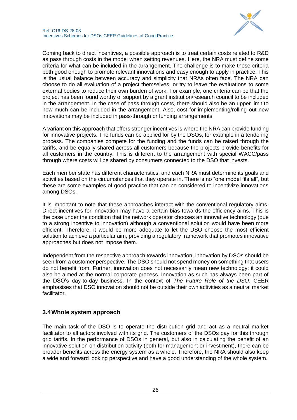

Coming back to direct incentives, a possible approach is to treat certain costs related to R&D as pass through costs in the model when setting revenues. Here, the NRA must define some criteria for what can be included in the arrangement. The challenge is to make those criteria both good enough to promote relevant innovations and easy enough to apply in practice. This is the usual balance between accuracy and simplicity that NRAs often face. The NRA can choose to do all evaluation of a project themselves, or try to leave the evaluations to some external bodies to reduce their own burden of work. For example, one criteria can be that the project has been found worthy of support by a grant institution/research council to be included in the arrangement. In the case of pass through costs, there should also be an upper limit to how much can be included in the arrangement. Also, cost for implementing/rolling out new innovations may be included in pass-through or funding arrangements.

A variant on this approach that offers stronger incentives is where the NRA can provide funding for innovative projects. The funds can be applied for by the DSOs, for example in a tendering process. The companies compete for the funding and the funds can be raised through the tariffs, and be equally shared across all customers because the projects provide benefits for all customers in the country. This is different to the arrangement with special WACC/pass through where costs will be shared by consumers connected to the DSO that invests.

Each member state has different characteristics, and each NRA must determine its goals and activities based on the circumstances that they operate in. There is no "one model fits all", but these are some examples of good practice that can be considered to incentivize innovations among DSOs.

It is important to note that these approaches interact with the conventional regulatory aims. Direct incentives for innovation may have a certain bias towards the efficiency aims. This is the case under the condition that the network operator chooses an innovative technology (due to a strong incentive to innovation) although a conventional solution would have been more efficient. Therefore, it would be more adequate to let the DSO choose the most efficient solution to achieve a particular aim, providing a regulatory framework that promotes innovative approaches but does not impose them.

Independent from the respective approach towards innovation, innovation by DSOs should be seen from a customer perspective. The DSO should not spend money on something that users do not benefit from. Further, innovation does not necessarily mean new technology; it could also be aimed at the normal corporate process. Innovation as such has always been part of the DSO's day-to-day business. In the context of *The Future Role of the DSO*, CEER emphasises that DSO innovation should not be outside their own activities as a neutral market facilitator.

## <span id="page-25-0"></span>**3.4Whole system approach**

The main task of the DSO is to operate the distribution grid and act as a neutral market facilitator to all actors involved with its grid. The customers of the DSOs pay for this through grid tariffs. In the performance of DSOs in general, but also in calculating the benefit of an innovative solution on distribution activity (both for management or investment), there can be broader benefits across the energy system as a whole. Therefore, the NRA should also keep a wide and forward looking perspective and have a good understanding of the whole system.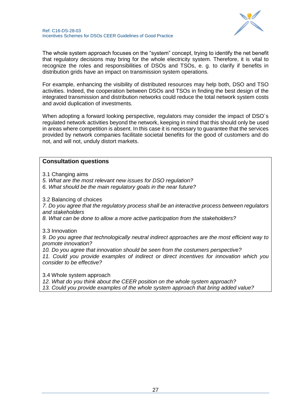

The whole system approach focuses on the "system" concept, trying to identify the net benefit that regulatory decisions may bring for the whole electricity system. Therefore, it is vital to recognize the roles and responsibilities of DSOs and TSOs, e. g. to clarify if benefits in distribution grids have an impact on transmission system operations.

For example, enhancing the visibility of distributed resources may help both, DSO and TSO activities. Indeed, the cooperation between DSOs and TSOs in finding the best design of the integrated transmission and distribution networks could reduce the total network system costs and avoid duplication of investments.

When adopting a forward looking perspective, regulators may consider the impact of DSO´s regulated network activities beyond the network, keeping in mind that this should only be used in areas where competition is absent. In this case it is necessary to guarantee that the services provided by network companies facilitate societal benefits for the good of customers and do not, and will not, unduly distort markets.

## **Consultation questions**

- 3.1 Changing aims
- *5. What are the most relevant new issues for DSO regulation?*
- *6. What should be the main regulatory goals in the near future?*

3.2 Balancing of choices

*7. Do you agree that the regulatory process shall be an interactive process between regulators and stakeholders*

*8. What can be done to allow a more active participation from the stakeholders?*

#### 3.3 Innovation

*9. Do you agree that technologically neutral indirect approaches are the most efficient way to promote innovation?*

*10. Do you agree that innovation should be seen from the costumers perspective? 11. Could you provide examples of indirect or direct incentives for innovation which you consider to be effective?*

3.4 Whole system approach

*12. What do you think about the CEER position on the whole system approach?*

*13. Could you provide examples of the whole system approach that bring added value?*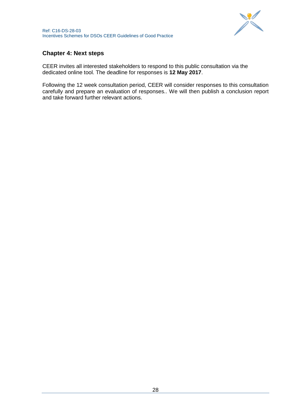

## <span id="page-27-0"></span>**Chapter 4: Next steps**

CEER invites all interested stakeholders to respond to this public consultation via the dedicated online tool. The deadline for responses is **12 May 2017**.

Following the 12 week consultation period, CEER will consider responses to this consultation carefully and prepare an evaluation of responses.. We will then publish a conclusion report and take forward further relevant actions.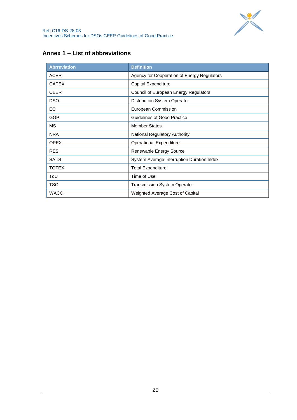

## <span id="page-28-0"></span>**Annex 1 – List of abbreviations**

| <b>Abrreviation</b> | <b>Definition</b>                           |
|---------------------|---------------------------------------------|
| <b>ACER</b>         | Agency for Cooperation of Energy Regulators |
| <b>CAPEX</b>        | Capital Expenditure                         |
| <b>CEER</b>         | Council of European Energy Regulators       |
| <b>DSO</b>          | Distribution System Operator                |
| <b>EC</b>           | European Commission                         |
| <b>GGP</b>          | <b>Guidelines of Good Practice</b>          |
| MS                  | <b>Member States</b>                        |
| <b>NRA</b>          | <b>National Regulatory Authority</b>        |
| <b>OPEX</b>         | <b>Operational Expenditure</b>              |
| <b>RES</b>          | Renewable Energy Source                     |
| SAIDI               | System Average Interruption Duration Index  |
| <b>TOTEX</b>        | <b>Total Expenditure</b>                    |
| ToU                 | Time of Use                                 |
| <b>TSO</b>          | <b>Transmission System Operator</b>         |
| <b>WACC</b>         | Weighted Average Cost of Capital            |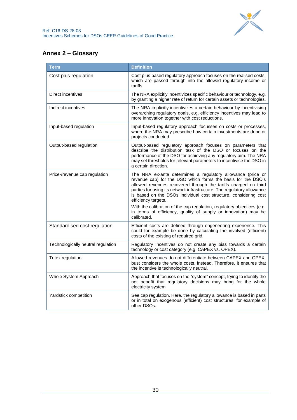

## <span id="page-29-0"></span>**Annex 2 – Glossary**

| <b>Term</b>                        | <b>Definition</b>                                                                                                                                                                                                                                                                                                                                                                                                                                                                                                                |  |
|------------------------------------|----------------------------------------------------------------------------------------------------------------------------------------------------------------------------------------------------------------------------------------------------------------------------------------------------------------------------------------------------------------------------------------------------------------------------------------------------------------------------------------------------------------------------------|--|
| Cost plus regulation               | Cost plus based regulatory approach focuses on the realised costs,<br>which are passed through into the allowed regulatory income or<br>tariffs.                                                                                                                                                                                                                                                                                                                                                                                 |  |
| Direct incentives                  | The NRA explicitly incentivizes specific behaviour or technology, e.g.<br>by granting a higher rate of return for certain assets or technologies.                                                                                                                                                                                                                                                                                                                                                                                |  |
| Indirect incentives                | The NRA implicitly incentivizes a certain behaviour by incentivising<br>overarching regulatory goals, e.g. efficiency incentives may lead to<br>more innovation together with cost reductions.                                                                                                                                                                                                                                                                                                                                   |  |
| Input-based regulation             | Input-based regulatory approach focusses on costs or processes,<br>where the NRA may prescribe how certain investments are done or<br>projects conducted.                                                                                                                                                                                                                                                                                                                                                                        |  |
| Output-based regulation            | Output-based regulatory approach focuses on parameters that<br>describe the distribution task of the DSO or focuses on the<br>performance of the DSO for achieving any regulatory aim. The NRA<br>may set thresholds for relevant parameters to incentivise the DSO in<br>a certain direction.                                                                                                                                                                                                                                   |  |
| Price-/revenue cap regulation      | The NRA ex-ante determines a regulatory allowance (price or<br>revenue cap) for the DSO which forms the basis for the DSO's<br>allowed revenues recovered through the tariffs charged on third<br>parties for using its network infrastructure. The regulatory allowance<br>is based on the DSOs individual cost structure, considering cost<br>efficiency targets.<br>With the calibration of the cap regulation, regulatory objectices (e.g.<br>in terms of efficiency, quality of supply or innovation) may be<br>calibrated. |  |
| Standardised cost regulation       | Efficient costs are defined through engeneering experience. This<br>could for example be done by calculating the involved (efficient)<br>costs of the existing of required grid.                                                                                                                                                                                                                                                                                                                                                 |  |
| Technologically neutral regulation | Regulatory incentives do not create any bias towards a certain<br>technology or cost category (e.g. CAPEX vs. OPEX).                                                                                                                                                                                                                                                                                                                                                                                                             |  |
| Totex regulation                   | Allowed revenues do not differentiate between CAPEX and OPEX,<br>bust considers the whole costs, instead. Therefore, it ensures that<br>the incentive is technologically neutral.                                                                                                                                                                                                                                                                                                                                                |  |
| Whole System Approach              | Approach that focuses on the "system" concept, trying to identify the<br>net benefit that regulatory decisions may bring for the whole<br>electricity system                                                                                                                                                                                                                                                                                                                                                                     |  |
| Yardstick competition              | See cap regulation. Here, the regulatory allowance is based in parts<br>or in total on exogenous (efficient) cost structures, for example of<br>other DSOs.                                                                                                                                                                                                                                                                                                                                                                      |  |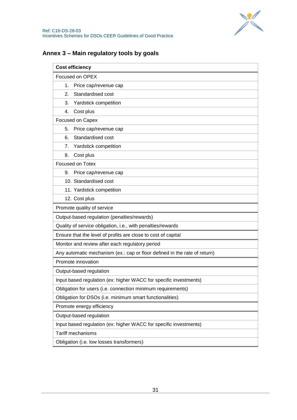

## <span id="page-30-0"></span>**Annex 3 – Main regulatory tools by goals**

| <b>Cost efficiency</b>                                            |                                                                           |  |
|-------------------------------------------------------------------|---------------------------------------------------------------------------|--|
| Focused on OPEX                                                   |                                                                           |  |
|                                                                   | 1. Price cap/revenue cap                                                  |  |
| 2.                                                                | Standardised cost                                                         |  |
| 3.                                                                | Yardstick competition                                                     |  |
| 4.                                                                | Cost plus                                                                 |  |
| Focused on Capex                                                  |                                                                           |  |
| 5.                                                                | Price cap/revenue cap                                                     |  |
| 6.                                                                | Standardised cost                                                         |  |
| 7.                                                                | Yardstick competition                                                     |  |
| 8.                                                                | Cost plus                                                                 |  |
| Focused on Totex                                                  |                                                                           |  |
|                                                                   | 9. Price cap/revenue cap                                                  |  |
|                                                                   | 10. Standardised cost                                                     |  |
|                                                                   | 11. Yardstick competition                                                 |  |
| 12. Cost plus                                                     |                                                                           |  |
|                                                                   | Promote quality of service                                                |  |
|                                                                   | Output-based regulation (penalties/rewards)                               |  |
|                                                                   | Quality of service obligation, i.e., with penalties/rewards               |  |
|                                                                   | Ensure that the level of profits are close to cost of capital             |  |
| Monitor and review after each regulatory period                   |                                                                           |  |
|                                                                   | Any automatic mechanism (ex.: cap or floor defined in the rate of return) |  |
| Promote innovation                                                |                                                                           |  |
|                                                                   | Output-based regulation                                                   |  |
|                                                                   | Input based regulation (ex: higher WACC for specific investments)         |  |
|                                                                   | Obligation for users (i.e. connection minimum requirements)               |  |
|                                                                   | Obligation for DSOs (i.e. minimum smart functionalities)                  |  |
|                                                                   | Promote energy efficiency                                                 |  |
|                                                                   | Output-based regulation                                                   |  |
| Input based regulation (ex: higher WACC for specific investments) |                                                                           |  |
| Tariff mechanisms                                                 |                                                                           |  |
|                                                                   | Obligation (i.e. low losses transformers)                                 |  |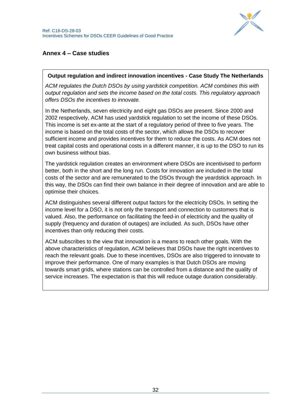

## <span id="page-31-0"></span>**Annex 4 – Case studies**

### **Output regulation and indirect innovation incentives - Case Study The Netherlands**

*ACM regulates the Dutch DSOs by using yardstick competition. ACM combines this with output regulation and sets the income based on the total costs. This regulatory approach offers DSOs the incentives to innovate.*

In the Netherlands, seven electricity and eight gas DSOs are present. Since 2000 and 2002 respectively, ACM has used yardstick regulation to set the income of these DSOs. This income is set ex-ante at the start of a regulatory period of three to five years. The income is based on the total costs of the sector, which allows the DSOs to recover sufficient income and provides incentives for them to reduce the costs. As ACM does not treat capital costs and operational costs in a different manner, it is up to the DSO to run its own business without bias.

The yardstick regulation creates an environment where DSOs are incentivised to perform better, both in the short and the long run. Costs for innovation are included in the total costs of the sector and are remunerated to the DSOs through the yeardstick approach. In this way, the DSOs can find their own balance in their degree of innovation and are able to optimise their choices.

ACM distinguishes several different output factors for the electricity DSOs. In setting the income level for a DSO, it is not only the transport and connection to customers that is valued. Also, the performance on facilitating the feed-in of electricity and the quality of supply (frequency and duration of outages) are included. As such, DSOs have other incentives than only reducing their costs.

ACM subscribes to the view that innovation is a means to reach other goals. With the above characteristics of regulation, ACM believes that DSOs have the right incentives to reach the relevant goals. Due to these incentives, DSOs are also triggered to innovate to improve their performance. One of many examples is that Dutch DSOs are moving towards smart grids, where stations can be controlled from a distance and the quality of service increases. The expectation is that this will reduce outage duration considerably.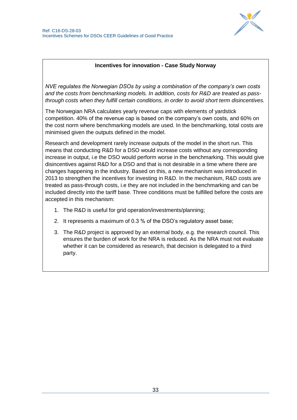

## **Incentives for innovation - Case Study Norway**

*NVE regulates the Norwegian DSOs by using a combination of the company's own costs and the costs from benchmarking models. In addition, costs for R&D are treated as passthrough costs when they fulfill certain conditions, in order to avoid short term disincentives.*

The Norwegian NRA calculates yearly revenue caps with elements of yardstick competition. 40% of the revenue cap is based on the company's own costs, and 60% on the cost norm where benchmarking models are used. In the benchmarking, total costs are minimised given the outputs defined in the model.

Research and development rarely increase outputs of the model in the short run. This means that conducting R&D for a DSO would increase costs without any corresponding increase in output, i.e the DSO would perform worse in the benchmarking. This would give disincentives against R&D for a DSO and that is not desirable in a time where there are changes happening in the industry. Based on this, a new mechanism was introduced in 2013 to strengthen the incentives for investing in R&D. In the mechanism, R&D costs are treated as pass-through costs, i.e they are not included in the benchmarking and can be included directly into the tariff base. Three conditions must be fulfilled before the costs are accepted in this mechanism:

- 1. The R&D is useful for grid operation/investments/planning;
- 2. It represents a maximum of 0.3 % of the DSO's regulatory asset base;
- 3. The R&D project is approved by an external body, e.g. the research council. This ensures the burden of work for the NRA is reduced. As the NRA must not evaluate whether it can be considered as research, that decision is delegated to a third party.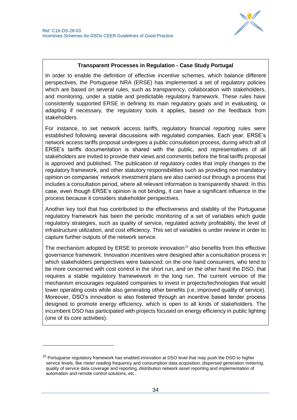

### **Transparent Processes in Regulation - Case Study Portugal**

In order to enable the definition of effective incentive schemes, which balance different perspectives, the Portuguese NRA (ERSE) has implemented a set of regulatory policies which are based on several rules, such as transparency, collaboration with stakeholders, and monitoring, under a stable and predictable regulatory framework. These rules have consistently supported ERSE in defining its main regulatory goals and in evaluating, or adapting if necessary, the regulatory tools it applies, based on the feedback from stakeholders.

For instance, to set network access tariffs, regulatory financial reporting rules were established following several discussions with regulated companies. Each year, ERSE's network access tariffs proposal undergoes a public consultation process, during which all of ERSE's tariffs documentation is shared with the public, and representatives of all stakeholders are invited to provide their views and comments before the final tariffs proposal is approved and published. The publication of regulatory codes that imply changes to the regulatory framework, and other statutory responsibilities such as providing non mandatory opinion on companies' network investment plans are also carried out through a process that includes a consultation period, where all relevant information is transparently shared. In this case, even though ERSE's opinion is not binding, it can have a significant influence in the process because it considers stakeholder perspectives.

Another key tool that has contributed to the effectiveness and stability of the Portuguese regulatory framework has been the periodic monitoring of a set of variables which guide regulatory strategies, such as quality of service, regulated activity profitability, the level of infrastructure utilization, and cost efficiency. This set of variables is under review in order to capture further outputs of the network service.

The mechanism adopted by ERSE to promote innovation*<sup>10</sup>* also benefits from this effective governance framework. Innovation incentives were designed after a consultation process in which stakeholders perspectives were balanced: on the one hand consumers, who tend to be more concerned with cost control in the short run, and on the other hand the DSO, that requires a stable regulatory framewework in the long run. The current version of the mechanism encourages regulated companies to invest in projects/technologies that would lower operating costs while also generating other benefits (i.e, improved quality of service). Moreover, DSO's innovation is also fostered through an incentive based tender process designed to promote energy efficiency, which is open to all kinds of stakeholders. The incumbent DSO has participated with projects focused on energy efficiency in public lighting (one of its core activities).

-

 $10$  Portuguese regulatory framework has enabled innovation at DSO level that may push the DSO to higher service levels, like meter reading frequency and consumption data acquisition, dispersed generation metering, quality of service data coverage and reporting, distribution network asset reporting and implementation of automation and remote control solutions, etc..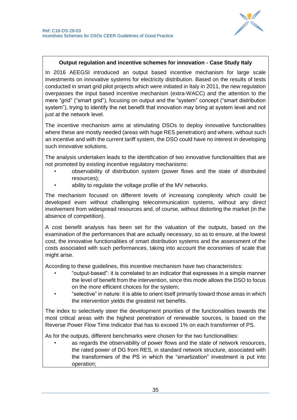

## **Output regulation and incentive schemes for innovation - Case Study Italy**

In 2016 AEEGSI introduced an output based incentive mechanism for large scale investments on innovative systems for electricity distribution. Based on the results of tests conducted in smart grid pilot projects which were initiated in Italy in 2011, the new regulation overpasses the input based incentive mechanism (extra-WACC) and the attention to the mere "grid" ("smart grid"), focusing on output and the "system" concept ("smart distribution system"), trying to identify the net benefit that innovation may bring at system level and not just at the network level.

The incentive mechanism aims at stimulating DSOs to deploy innovative functionalities where these are mostly needed (areas with huge RES penetration) and where, without such an incentive and with the current tariff system, the DSO could have no interest in developing such innovative solutions.

The analysis undertaken leads to the identification of two innovative functionalities that are not promoted by existing incentive regulatory mechanisms:

- observability of distribution system (power flows and the state of distributed resources);
- ability to regulate the voltage profile of the MV networks.

The mechanism focused on different levels of increasing complexity which could be developed even without challenging telecommunication systems, without any direct involvement from widespread resources and, of course, without distorting the market (in the absence of competition).

A cost benefit analysis has been set for the valuation of the outputs, based on the examination of the performances that are actually necessary, so as to ensure, at the lowest cost, the innovative functionalities of smart distribution systems and the assessment of the costs associated with such performances, taking into account the economies of scale that might arise.

According to these guidelines, this incentive mechanism have two characteristics:

- "output-based": it is correlated to an indicator that expresses in a simple manner the level of benefit from the intervention, since this mode allows the DSO to focus on the more efficient choices for the system;
- "selective" in nature: it is able to orient itself primarily toward those areas in which the intervention yields the greatest net benefits.

The index to selectively steer the development priorities of the functionalities towards the most critical areas with the highest penetration of renewable sources, is based on the Reverse Power Flow Time Indicator that has to exceed 1% on each transformer of PS.

As for the outputs, different benchmarks were chosen for the two functionalities:

• as regards the observability of power flows and the state of network resources, the rated power of DG from RES, in standard network structure, associated with the transformers of the PS in which the "smartization" investment is put into operation;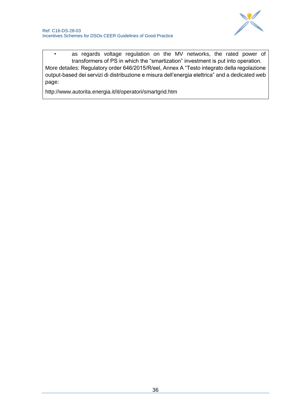

• as regards voltage regulation on the MV networks, the rated power of transformers of PS in which the "smartization" investment is put into operation. More detailes: Regulatory order 646/2015/R/eel, Annex A "Testo integrato della regolazione output-based dei servizi di distribuzione e misura dell'energia elettrica" and a dedicated web page:

http://www.autorita.energia.it/it/operatori/smartgrid.htm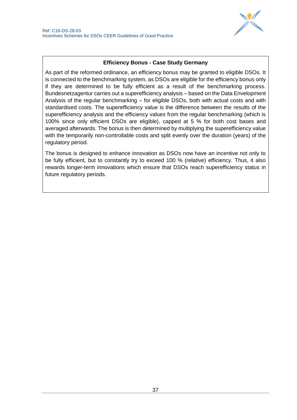

## **Efficiency Bonus - Case Study Germany**

As part of the reformed ordinance, an efficiency bonus may be granted to eligible DSOs. It is connected to the benchmarking system, as DSOs are eligible for the efficiency bonus only if they are determined to be fully efficient as a result of the benchmarking process. Bundesnetzagentur carries out a superefficiency analysis – based on the Data Envelopment Analysis of the regular benchmarking – for eligible DSOs, both with actual costs and with standardised costs. The superefficiency value is the difference between the results of the superefficiency analysis and the efficiency values from the regular benchmarking (which is 100% since only efficient DSOs are eligible), capped at 5 % for both cost bases and averaged afterwards. The bonus is then determined by multiplying the superefficiency value with the temporarily non-controllable costs and split evenly over the duration (years) of the regulatory period.

The bonus is designed to enhance innovation as DSOs now have an incentive not only to be fully efficient, but to constantly try to exceed 100 % (relative) efficiency. Thus, it also rewards longer-term innovations which ensure that DSOs reach superefficiency status in future regulatory periods.